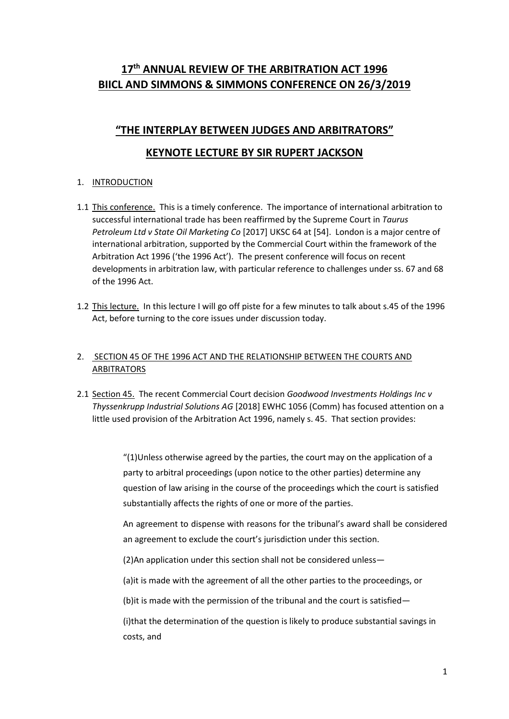# **17th ANNUAL REVIEW OF THE ARBITRATION ACT 1996 BIICL AND SIMMONS & SIMMONS CONFERENCE ON 26/3/2019**

# **"THE INTERPLAY BETWEEN JUDGES AND ARBITRATORS"**

## **KEYNOTE LECTURE BY SIR RUPERT JACKSON**

### 1. INTRODUCTION

- 1.1 This conference. This is a timely conference. The importance of international arbitration to successful international trade has been reaffirmed by the Supreme Court in *Taurus Petroleum Ltd v State Oil Marketing Co* [2017] UKSC 64 at [54]. London is a major centre of international arbitration, supported by the Commercial Court within the framework of the Arbitration Act 1996 ('the 1996 Act'). The present conference will focus on recent developments in arbitration law, with particular reference to challenges under ss. 67 and 68 of the 1996 Act.
- 1.2 This lecture. In this lecture I will go off piste for a few minutes to talk about s.45 of the 1996 Act, before turning to the core issues under discussion today.

### 2. SECTION 45 OF THE 1996 ACT AND THE RELATIONSHIP BETWEEN THE COURTS AND ARBITRATORS

2.1 Section 45. The recent Commercial Court decision *Goodwood Investments Holdings Inc v Thyssenkrupp Industrial Solutions AG* [2018] EWHC 1056 (Comm) has focused attention on a little used provision of the Arbitration Act 1996, namely s. 45. That section provides:

> "(1)Unless otherwise agreed by the parties, the court may on the application of a party to arbitral proceedings (upon notice to the other parties) determine any question of law arising in the course of the proceedings which the court is satisfied substantially affects the rights of one or more of the parties.

An agreement to dispense with reasons for the tribunal's award shall be considered an agreement to exclude the court's jurisdiction under this section.

(2)An application under this section shall not be considered unless—

(a)it is made with the agreement of all the other parties to the proceedings, or

(b)it is made with the permission of the tribunal and the court is satisfied—

(i)that the determination of the question is likely to produce substantial savings in costs, and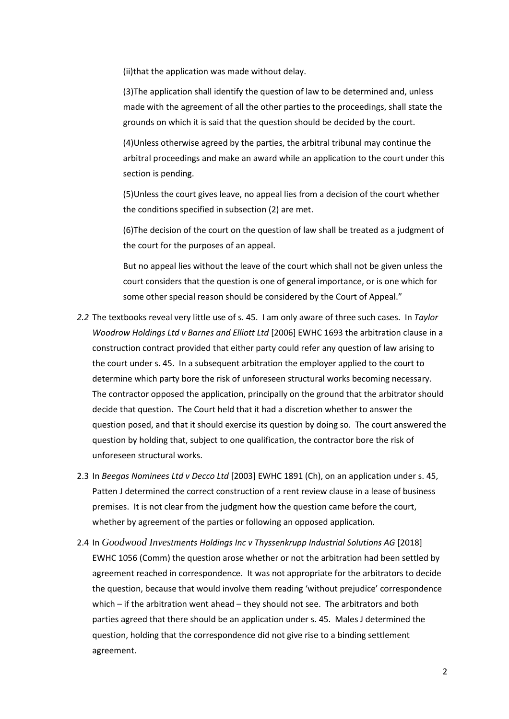(ii)that the application was made without delay.

(3)The application shall identify the question of law to be determined and, unless made with the agreement of all the other parties to the proceedings, shall state the grounds on which it is said that the question should be decided by the court.

(4)Unless otherwise agreed by the parties, the arbitral tribunal may continue the arbitral proceedings and make an award while an application to the court under this section is pending.

(5)Unless the court gives leave, no appeal lies from a decision of the court whether the conditions specified in subsection (2) are met.

(6)The decision of the court on the question of law shall be treated as a judgment of the court for the purposes of an appeal.

But no appeal lies without the leave of the court which shall not be given unless the court considers that the question is one of general importance, or is one which for some other special reason should be considered by the Court of Appeal."

- *2.2* The textbooks reveal very little use of s. 45. I am only aware of three such cases. In *Taylor Woodrow Holdings Ltd v Barnes and Elliott Ltd* [2006] EWHC 1693 the arbitration clause in a construction contract provided that either party could refer any question of law arising to the court under s. 45. In a subsequent arbitration the employer applied to the court to determine which party bore the risk of unforeseen structural works becoming necessary. The contractor opposed the application, principally on the ground that the arbitrator should decide that question. The Court held that it had a discretion whether to answer the question posed, and that it should exercise its question by doing so. The court answered the question by holding that, subject to one qualification, the contractor bore the risk of unforeseen structural works.
- 2.3 In *Beegas Nominees Ltd v Decco Ltd* [2003] EWHC 1891 (Ch), on an application under s. 45, Patten J determined the correct construction of a rent review clause in a lease of business premises. It is not clear from the judgment how the question came before the court, whether by agreement of the parties or following an opposed application.
- 2.4 In *Goodwood Investments Holdings Inc v Thyssenkrupp Industrial Solutions AG* [2018] EWHC 1056 (Comm) the question arose whether or not the arbitration had been settled by agreement reached in correspondence. It was not appropriate for the arbitrators to decide the question, because that would involve them reading 'without prejudice' correspondence which – if the arbitration went ahead – they should not see. The arbitrators and both parties agreed that there should be an application under s. 45. Males J determined the question, holding that the correspondence did not give rise to a binding settlement agreement.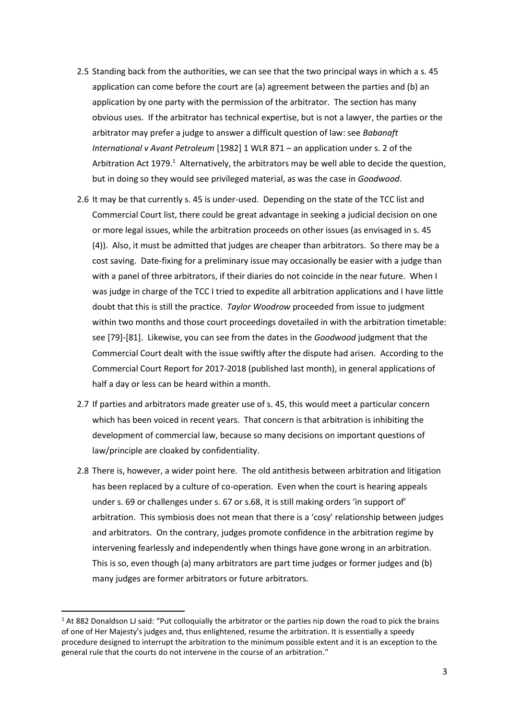- 2.5 Standing back from the authorities, we can see that the two principal ways in which a s. 45 application can come before the court are (a) agreement between the parties and (b) an application by one party with the permission of the arbitrator. The section has many obvious uses. If the arbitrator has technical expertise, but is not a lawyer, the parties or the arbitrator may prefer a judge to answer a difficult question of law: see *Babanaft International v Avant Petroleum* [1982] 1 WLR 871 – an application under s. 2 of the Arbitration Act 1979.<sup>1</sup> Alternatively, the arbitrators may be well able to decide the question, but in doing so they would see privileged material, as was the case in *Goodwood*.
- 2.6 It may be that currently s. 45 is under-used. Depending on the state of the TCC list and Commercial Court list, there could be great advantage in seeking a judicial decision on one or more legal issues, while the arbitration proceeds on other issues (as envisaged in s. 45 (4)). Also, it must be admitted that judges are cheaper than arbitrators. So there may be a cost saving. Date-fixing for a preliminary issue may occasionally be easier with a judge than with a panel of three arbitrators, if their diaries do not coincide in the near future. When I was judge in charge of the TCC I tried to expedite all arbitration applications and I have little doubt that this is still the practice. *Taylor Woodrow* proceeded from issue to judgment within two months and those court proceedings dovetailed in with the arbitration timetable: see [79]-[81]. Likewise, you can see from the dates in the *Goodwood* judgment that the Commercial Court dealt with the issue swiftly after the dispute had arisen. According to the Commercial Court Report for 2017-2018 (published last month), in general applications of half a day or less can be heard within a month.
- 2.7 If parties and arbitrators made greater use of s. 45, this would meet a particular concern which has been voiced in recent years. That concern is that arbitration is inhibiting the development of commercial law, because so many decisions on important questions of law/principle are cloaked by confidentiality.
- 2.8 There is, however, a wider point here. The old antithesis between arbitration and litigation has been replaced by a culture of co-operation. Even when the court is hearing appeals under s. 69 or challenges under s. 67 or s.68, it is still making orders 'in support of' arbitration. This symbiosis does not mean that there is a 'cosy' relationship between judges and arbitrators. On the contrary, judges promote confidence in the arbitration regime by intervening fearlessly and independently when things have gone wrong in an arbitration. This is so, even though (a) many arbitrators are part time judges or former judges and (b) many judges are former arbitrators or future arbitrators.

 $1$  At 882 Donaldson LJ said: "Put colloquially the arbitrator or the parties nip down the road to pick the brains of one of Her Majesty's judges and, thus enlightened, resume the arbitration. It is essentially a speedy procedure designed to interrupt the arbitration to the minimum possible extent and it is an exception to the general rule that the courts do not intervene in the course of an arbitration."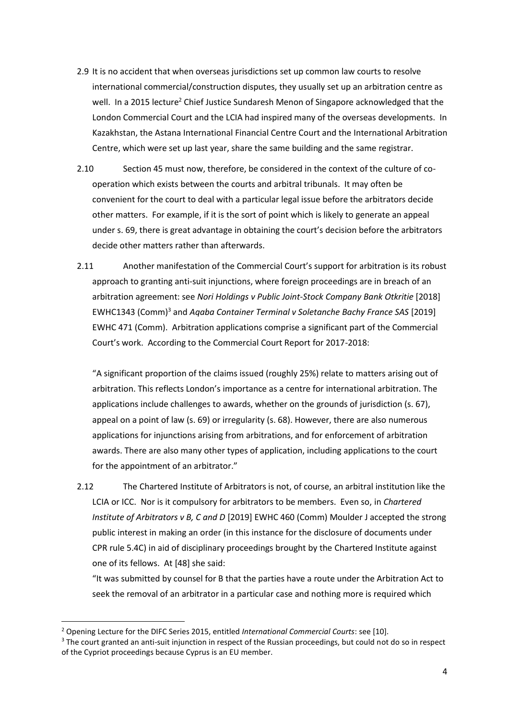- 2.9 It is no accident that when overseas jurisdictions set up common law courts to resolve international commercial/construction disputes, they usually set up an arbitration centre as well. In a 2015 lecture<sup>2</sup> Chief Justice Sundaresh Menon of Singapore acknowledged that the London Commercial Court and the LCIA had inspired many of the overseas developments. In Kazakhstan, the Astana International Financial Centre Court and the International Arbitration Centre, which were set up last year, share the same building and the same registrar.
- 2.10 Section 45 must now, therefore, be considered in the context of the culture of cooperation which exists between the courts and arbitral tribunals. It may often be convenient for the court to deal with a particular legal issue before the arbitrators decide other matters. For example, if it is the sort of point which is likely to generate an appeal under s. 69, there is great advantage in obtaining the court's decision before the arbitrators decide other matters rather than afterwards.
- 2.11 Another manifestation of the Commercial Court's support for arbitration is its robust approach to granting anti-suit injunctions, where foreign proceedings are in breach of an arbitration agreement: see *Nori Holdings v Public Joint-Stock Company Bank Otkritie* [2018] EWHC1343 (Comm)<sup>3</sup> and *Aqaba Container Terminal v Soletanche Bachy France SAS* [2019] EWHC 471 (Comm). Arbitration applications comprise a significant part of the Commercial Court's work. According to the Commercial Court Report for 2017-2018:

"A significant proportion of the claims issued (roughly 25%) relate to matters arising out of arbitration. This reflects London's importance as a centre for international arbitration. The applications include challenges to awards, whether on the grounds of jurisdiction (s. 67), appeal on a point of law (s. 69) or irregularity (s. 68). However, there are also numerous applications for injunctions arising from arbitrations, and for enforcement of arbitration awards. There are also many other types of application, including applications to the court for the appointment of an arbitrator."

2.12 The Chartered Institute of Arbitrators is not, of course, an arbitral institution like the LCIA or ICC. Nor is it compulsory for arbitrators to be members. Even so, in *Chartered Institute of Arbitrators v B, C and D* [2019] EWHC 460 (Comm) Moulder J accepted the strong public interest in making an order (in this instance for the disclosure of documents under CPR rule 5.4C) in aid of disciplinary proceedings brought by the Chartered Institute against one of its fellows. At [48] she said:

"It was submitted by counsel for B that the parties have a route under the Arbitration Act to seek the removal of an arbitrator in a particular case and nothing more is required which

<sup>2</sup> Opening Lecture for the DIFC Series 2015, entitled *International Commercial Courts*: see [10].

<sup>&</sup>lt;sup>3</sup> The court granted an anti-suit injunction in respect of the Russian proceedings, but could not do so in respect of the Cypriot proceedings because Cyprus is an EU member.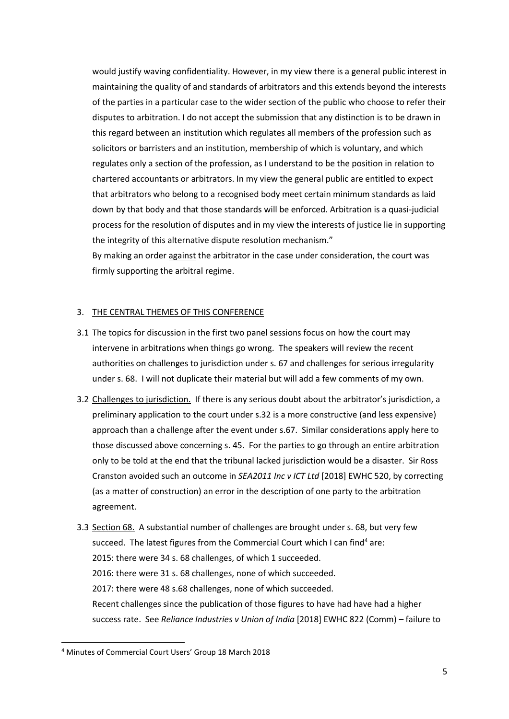would justify waving confidentiality. However, in my view there is a general public interest in maintaining the quality of and standards of arbitrators and this extends beyond the interests of the parties in a particular case to the wider section of the public who choose to refer their disputes to arbitration. I do not accept the submission that any distinction is to be drawn in this regard between an institution which regulates all members of the profession such as solicitors or barristers and an institution, membership of which is voluntary, and which regulates only a section of the profession, as I understand to be the position in relation to chartered accountants or arbitrators. In my view the general public are entitled to expect that arbitrators who belong to a recognised body meet certain minimum standards as laid down by that body and that those standards will be enforced. Arbitration is a quasi-judicial process for the resolution of disputes and in my view the interests of justice lie in supporting the integrity of this alternative dispute resolution mechanism."

By making an order against the arbitrator in the case under consideration, the court was firmly supporting the arbitral regime.

#### 3. THE CENTRAL THEMES OF THIS CONFERENCE

- 3.1 The topics for discussion in the first two panel sessions focus on how the court may intervene in arbitrations when things go wrong. The speakers will review the recent authorities on challenges to jurisdiction under s. 67 and challenges for serious irregularity under s. 68. I will not duplicate their material but will add a few comments of my own.
- 3.2 Challenges to jurisdiction. If there is any serious doubt about the arbitrator's jurisdiction, a preliminary application to the court under s.32 is a more constructive (and less expensive) approach than a challenge after the event under s.67. Similar considerations apply here to those discussed above concerning s. 45. For the parties to go through an entire arbitration only to be told at the end that the tribunal lacked jurisdiction would be a disaster. Sir Ross Cranston avoided such an outcome in *SEA2011 Inc v ICT Ltd* [2018] EWHC 520, by correcting (as a matter of construction) an error in the description of one party to the arbitration agreement.
- 3.3 Section 68. A substantial number of challenges are brought under s. 68, but very few succeed. The latest figures from the Commercial Court which I can find<sup>4</sup> are: 2015: there were 34 s. 68 challenges, of which 1 succeeded. 2016: there were 31 s. 68 challenges, none of which succeeded. 2017: there were 48 s.68 challenges, none of which succeeded. Recent challenges since the publication of those figures to have had have had a higher success rate. See *Reliance Industries v Union of India* [2018] EWHC 822 (Comm) – failure to

<sup>4</sup> Minutes of Commercial Court Users' Group 18 March 2018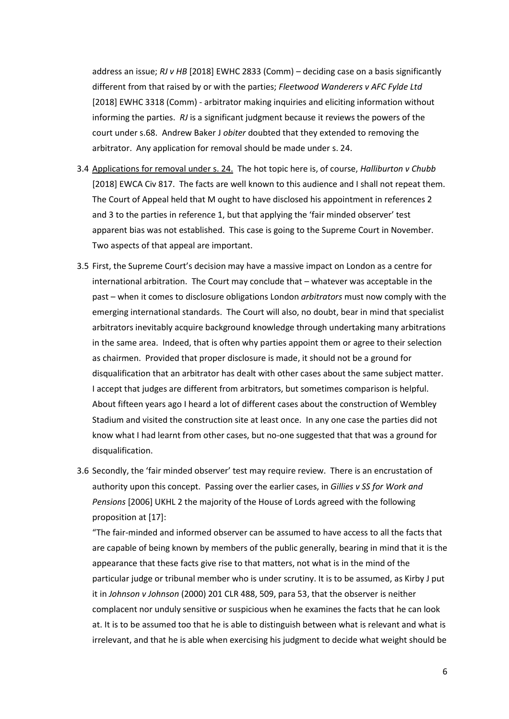address an issue; *RJ v HB* [2018] EWHC 2833 (Comm) – deciding case on a basis significantly different from that raised by or with the parties; *Fleetwood Wanderers v AFC Fylde Ltd*  [2018] EWHC 3318 (Comm) - arbitrator making inquiries and eliciting information without informing the parties. *RJ* is a significant judgment because it reviews the powers of the court under s.68. Andrew Baker J *obiter* doubted that they extended to removing the arbitrator. Any application for removal should be made under s. 24.

- 3.4 Applications for removal under s. 24. The hot topic here is, of course, *Halliburton v Chubb* [2018] EWCA Civ 817. The facts are well known to this audience and I shall not repeat them. The Court of Appeal held that M ought to have disclosed his appointment in references 2 and 3 to the parties in reference 1, but that applying the 'fair minded observer' test apparent bias was not established. This case is going to the Supreme Court in November. Two aspects of that appeal are important.
- 3.5 First, the Supreme Court's decision may have a massive impact on London as a centre for international arbitration. The Court may conclude that – whatever was acceptable in the past – when it comes to disclosure obligations London *arbitrators* must now comply with the emerging international standards. The Court will also, no doubt, bear in mind that specialist arbitrators inevitably acquire background knowledge through undertaking many arbitrations in the same area. Indeed, that is often why parties appoint them or agree to their selection as chairmen. Provided that proper disclosure is made, it should not be a ground for disqualification that an arbitrator has dealt with other cases about the same subject matter. I accept that judges are different from arbitrators, but sometimes comparison is helpful. About fifteen years ago I heard a lot of different cases about the construction of Wembley Stadium and visited the construction site at least once. In any one case the parties did not know what I had learnt from other cases, but no-one suggested that that was a ground for disqualification.
- 3.6 Secondly, the 'fair minded observer' test may require review. There is an encrustation of authority upon this concept. Passing over the earlier cases, in *Gillies v SS for Work and Pensions* [2006] UKHL 2 the majority of the House of Lords agreed with the following proposition at [17]:

"The fair-minded and informed observer can be assumed to have access to all the facts that are capable of being known by members of the public generally, bearing in mind that it is the appearance that these facts give rise to that matters, not what is in the mind of the particular judge or tribunal member who is under scrutiny. It is to be assumed, as Kirby J put it in *Johnson v Johnson* (2000) 201 CLR 488, 509, para 53, that the observer is neither complacent nor unduly sensitive or suspicious when he examines the facts that he can look at. It is to be assumed too that he is able to distinguish between what is relevant and what is irrelevant, and that he is able when exercising his judgment to decide what weight should be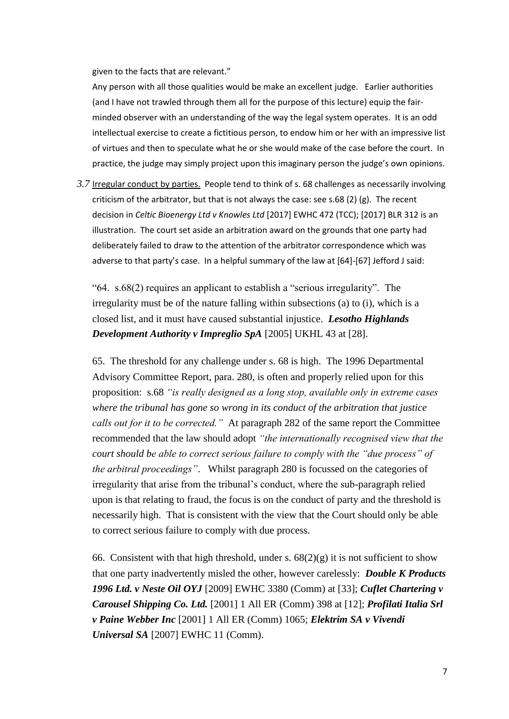given to the facts that are relevant."

Any person with all those qualities would be make an excellent judge. Earlier authorities (and I have not trawled through them all for the purpose of this lecture) equip the fairminded observer with an understanding of the way the legal system operates. It is an odd intellectual exercise to create a fictitious person, to endow him or her with an impressive list of virtues and then to speculate what he or she would make of the case before the court. In practice, the judge may simply project upon this imaginary person the judge's own opinions.

*3.7* Irregular conduct by parties. People tend to think of s. 68 challenges as necessarily involving criticism of the arbitrator, but that is not always the case: see s.68 (2) (g). The recent decision in *Celtic Bioenergy Ltd v Knowles Ltd* [2017] EWHC 472 (TCC); [2017] BLR 312 is an illustration. The court set aside an arbitration award on the grounds that one party had deliberately failed to draw to the attention of the arbitrator correspondence which was adverse to that party's case. In a helpful summary of the law at [64]-[67] Jefford J said:

"64. s.68(2) requires an applicant to establish a "serious irregularity". The irregularity must be of the nature falling within subsections (a) to (i), which is a closed list, and it must have caused substantial injustice. *Lesotho Highlands Development Authority v Impreglio SpA* [2005] UKHL 43 at [28].

65. The threshold for any challenge under s. 68 is high. The 1996 Departmental Advisory Committee Report, para. 280, is often and properly relied upon for this proposition: s.68 *"is really designed as a long stop, available only in extreme cases where the tribunal has gone so wrong in its conduct of the arbitration that justice calls out for it to be corrected."* At paragraph 282 of the same report the Committee recommended that the law should adopt *"the internationally recognised view that the court should be able to correct serious failure to comply with the "due process" of the arbitral proceedings"*. Whilst paragraph 280 is focussed on the categories of irregularity that arise from the tribunal's conduct, where the sub-paragraph relied upon is that relating to fraud, the focus is on the conduct of party and the threshold is necessarily high. That is consistent with the view that the Court should only be able to correct serious failure to comply with due process.

66. Consistent with that high threshold, under s.  $68(2)(g)$  it is not sufficient to show that one party inadvertently misled the other, however carelessly: *Double K Products 1996 Ltd. v Neste Oil OYJ* [2009] EWHC 3380 (Comm) at [33]; *Cuflet Chartering v Carousel Shipping Co. Ltd.* [2001] 1 All ER (Comm) 398 at [12]; *Profilati Italia Srl v Paine Webber Inc* [2001] 1 All ER (Comm) 1065; *Elektrim SA v Vivendi Universal SA* [2007] EWHC 11 (Comm).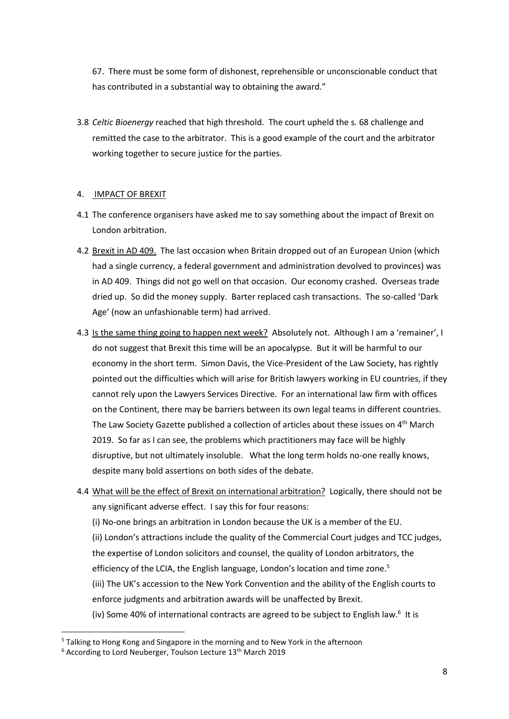67. There must be some form of dishonest, reprehensible or unconscionable conduct that has contributed in a substantial way to obtaining the award."

3.8 *Celtic Bioenergy* reached that high threshold. The court upheld the s. 68 challenge and remitted the case to the arbitrator. This is a good example of the court and the arbitrator working together to secure justice for the parties.

#### 4. IMPACT OF BREXIT

- 4.1 The conference organisers have asked me to say something about the impact of Brexit on London arbitration.
- 4.2 Brexit in AD 409. The last occasion when Britain dropped out of an European Union (which had a single currency, a federal government and administration devolved to provinces) was in AD 409. Things did not go well on that occasion. Our economy crashed. Overseas trade dried up. So did the money supply. Barter replaced cash transactions. The so-called 'Dark Age' (now an unfashionable term) had arrived.
- 4.3 Is the same thing going to happen next week? Absolutely not. Although I am a 'remainer', I do not suggest that Brexit this time will be an apocalypse. But it will be harmful to our economy in the short term. Simon Davis, the Vice-President of the Law Society, has rightly pointed out the difficulties which will arise for British lawyers working in EU countries, if they cannot rely upon the Lawyers Services Directive. For an international law firm with offices on the Continent, there may be barriers between its own legal teams in different countries. The Law Society Gazette published a collection of articles about these issues on 4<sup>th</sup> March 2019. So far as I can see, the problems which practitioners may face will be highly disruptive, but not ultimately insoluble. What the long term holds no-one really knows, despite many bold assertions on both sides of the debate.
- 4.4 What will be the effect of Brexit on international arbitration? Logically, there should not be any significant adverse effect. I say this for four reasons: (i) No-one brings an arbitration in London because the UK is a member of the EU. (ii) London's attractions include the quality of the Commercial Court judges and TCC judges, the expertise of London solicitors and counsel, the quality of London arbitrators, the efficiency of the LCIA, the English language, London's location and time zone.<sup>5</sup> (iii) The UK's accession to the New York Convention and the ability of the English courts to enforce judgments and arbitration awards will be unaffected by Brexit. (iv) Some 40% of international contracts are agreed to be subject to English law. $6$  It is

<sup>5</sup> Talking to Hong Kong and Singapore in the morning and to New York in the afternoon

<sup>&</sup>lt;sup>6</sup> According to Lord Neuberger, Toulson Lecture 13<sup>th</sup> March 2019